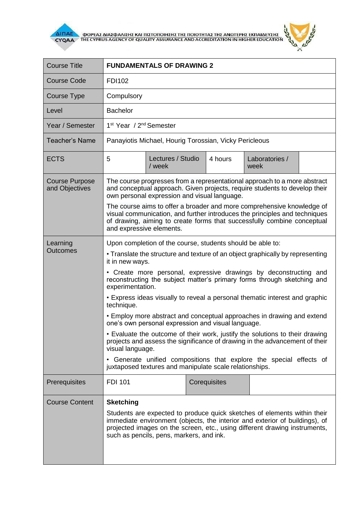

 $\overline{\Delta}$  (MODEA) AND THE CYPRUS AGENCY OF QUALITY ASSURANCE AND ACCREDITATION IN HIGHER EDUCATION



| <b>Course Title</b>                     | <b>FUNDAMENTALS OF DRAWING 2</b>                                                                                                                                                                                                                                                                                                                                                                                                                                                                                                                                                                                                                                                                                                                                                                                                                                                      |                             |  |         |                        |  |
|-----------------------------------------|---------------------------------------------------------------------------------------------------------------------------------------------------------------------------------------------------------------------------------------------------------------------------------------------------------------------------------------------------------------------------------------------------------------------------------------------------------------------------------------------------------------------------------------------------------------------------------------------------------------------------------------------------------------------------------------------------------------------------------------------------------------------------------------------------------------------------------------------------------------------------------------|-----------------------------|--|---------|------------------------|--|
| <b>Course Code</b>                      | <b>FDI102</b>                                                                                                                                                                                                                                                                                                                                                                                                                                                                                                                                                                                                                                                                                                                                                                                                                                                                         |                             |  |         |                        |  |
| Course Type                             | Compulsory                                                                                                                                                                                                                                                                                                                                                                                                                                                                                                                                                                                                                                                                                                                                                                                                                                                                            |                             |  |         |                        |  |
| Level                                   | <b>Bachelor</b>                                                                                                                                                                                                                                                                                                                                                                                                                                                                                                                                                                                                                                                                                                                                                                                                                                                                       |                             |  |         |                        |  |
| Year / Semester                         | 1 <sup>st</sup> Year / 2 <sup>nd</sup> Semester                                                                                                                                                                                                                                                                                                                                                                                                                                                                                                                                                                                                                                                                                                                                                                                                                                       |                             |  |         |                        |  |
| <b>Teacher's Name</b>                   | Panayiotis Michael, Hourig Torossian, Vicky Pericleous                                                                                                                                                                                                                                                                                                                                                                                                                                                                                                                                                                                                                                                                                                                                                                                                                                |                             |  |         |                        |  |
| <b>ECTS</b>                             | 5                                                                                                                                                                                                                                                                                                                                                                                                                                                                                                                                                                                                                                                                                                                                                                                                                                                                                     | Lectures / Studio<br>/ week |  | 4 hours | Laboratories /<br>week |  |
| <b>Course Purpose</b><br>and Objectives | The course progresses from a representational approach to a more abstract<br>and conceptual approach. Given projects, require students to develop their<br>own personal expression and visual language.<br>The course aims to offer a broader and more comprehensive knowledge of<br>visual communication, and further introduces the principles and techniques<br>of drawing, aiming to create forms that successfully combine conceptual<br>and expressive elements.                                                                                                                                                                                                                                                                                                                                                                                                                |                             |  |         |                        |  |
| Learning<br><b>Outcomes</b>             | Upon completion of the course, students should be able to:<br>• Translate the structure and texture of an object graphically by representing<br>it in new ways.<br>• Create more personal, expressive drawings by deconstructing and<br>reconstructing the subject matter's primary forms through sketching and<br>experimentation.<br>• Express ideas visually to reveal a personal thematic interest and graphic<br>technique.<br>• Employ more abstract and conceptual approaches in drawing and extend<br>one's own personal expression and visual language.<br>• Evaluate the outcome of their work, justify the solutions to their drawing<br>projects and assess the significance of drawing in the advancement of their<br>visual language.<br>• Generate unified compositions that explore the special effects of<br>juxtaposed textures and manipulate scale relationships. |                             |  |         |                        |  |
| Prerequisites<br><b>Course Content</b>  | <b>FDI 101</b><br>Corequisites<br><b>Sketching</b><br>Students are expected to produce quick sketches of elements within their<br>immediate environment (objects, the interior and exterior of buildings), of<br>projected images on the screen, etc., using different drawing instruments,<br>such as pencils, pens, markers, and ink.                                                                                                                                                                                                                                                                                                                                                                                                                                                                                                                                               |                             |  |         |                        |  |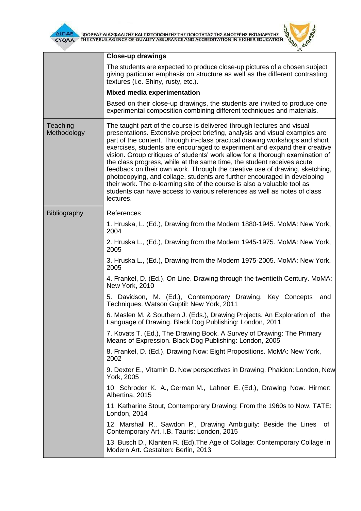

**TA** 



|                         | Close-up drawings<br>The students are expected to produce close-up pictures of a chosen subject<br>giving particular emphasis on structure as well as the different contrasting<br>textures (i.e. Shiny, rusty, etc.).<br><b>Mixed media experimentation</b><br>Based on their close-up drawings, the students are invited to produce one<br>experimental composition combining different techniques and materials.                                                                                                                                                                                                                                                                                                                                                                                                                                                                                                                                                                                                                                                                                                                                                                                              |
|-------------------------|------------------------------------------------------------------------------------------------------------------------------------------------------------------------------------------------------------------------------------------------------------------------------------------------------------------------------------------------------------------------------------------------------------------------------------------------------------------------------------------------------------------------------------------------------------------------------------------------------------------------------------------------------------------------------------------------------------------------------------------------------------------------------------------------------------------------------------------------------------------------------------------------------------------------------------------------------------------------------------------------------------------------------------------------------------------------------------------------------------------------------------------------------------------------------------------------------------------|
| Teaching<br>Methodology | The taught part of the course is delivered through lectures and visual<br>presentations. Extensive project briefing, analysis and visual examples are<br>part of the content. Through in-class practical drawing workshops and short<br>exercises, students are encouraged to experiment and expand their creative<br>vision. Group critiques of students' work allow for a thorough examination of<br>the class progress, while at the same time, the student receives acute<br>feedback on their own work. Through the creative use of drawing, sketching,<br>photocopying, and collage, students are further encouraged in developing<br>their work. The e-learning site of the course is also a valuable tool as<br>students can have access to various references as well as notes of class<br>lectures.                                                                                                                                                                                                                                                                                                                                                                                                    |
| <b>Bibliography</b>     | References<br>1. Hruska, L. (Ed.), Drawing from the Modern 1880-1945. MoMA: New York,<br>2004<br>2. Hruska L., (Ed.), Drawing from the Modern 1945-1975. MoMA: New York,<br>2005<br>3. Hruska L., (Ed.), Drawing from the Modern 1975-2005. MoMA: New York,<br>2005<br>4. Frankel, D. (Ed.), On Line. Drawing through the twentieth Century. MoMA:<br>New York, 2010<br>5. Davidson, M. (Ed.), Contemporary Drawing. Key Concepts<br>and<br>Techniques. Watson Guptil: New York, 2011<br>6. Maslen M. & Southern J. (Eds.), Drawing Projects. An Exploration of the<br>Language of Drawing. Black Dog Publishing: London, 2011<br>7. Kovats T. (Ed.), The Drawing Book. A Survey of Drawing: The Primary<br>Means of Expression. Black Dog Publishing: London, 2005<br>8. Frankel, D. (Ed.), Drawing Now: Eight Propositions. MoMA: New York,<br>2002<br>9. Dexter E., Vitamin D. New perspectives in Drawing. Phaidon: London, New<br>York, 2005<br>10. Schroder K. A., German M., Lahner E. (Ed.), Drawing Now. Hirmer:<br>Albertina, 2015<br>11. Katharine Stout, Contemporary Drawing: From the 1960s to Now. TATE:<br>London, 2014<br>12. Marshall R., Sawdon P., Drawing Ambiguity: Beside the Lines<br>of |
|                         | Contemporary Art. I.B. Tauris: London, 2015<br>13. Busch D., Klanten R. (Ed), The Age of Collage: Contemporary Collage in<br>Modern Art. Gestalten: Berlin, 2013                                                                                                                                                                                                                                                                                                                                                                                                                                                                                                                                                                                                                                                                                                                                                                                                                                                                                                                                                                                                                                                 |